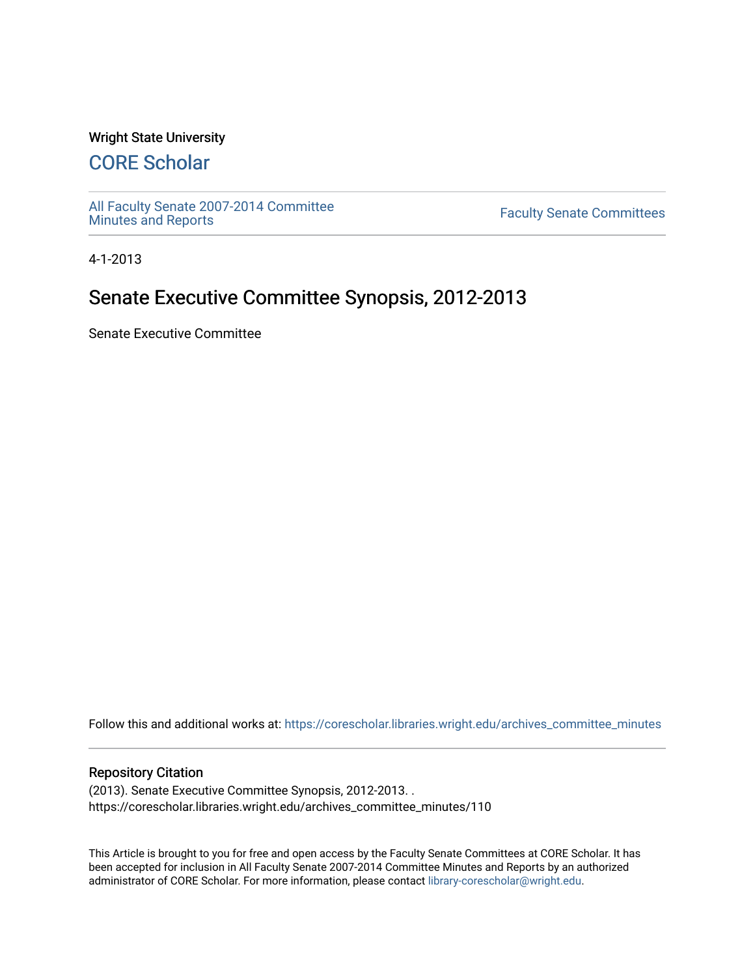#### Wright State University

# [CORE Scholar](https://corescholar.libraries.wright.edu/)

[All Faculty Senate 2007-2014 Committee](https://corescholar.libraries.wright.edu/archives_committee_minutes)

**Faculty Senate Committees** 

4-1-2013

# Senate Executive Committee Synopsis, 2012-2013

Senate Executive Committee

Follow this and additional works at: [https://corescholar.libraries.wright.edu/archives\\_committee\\_minutes](https://corescholar.libraries.wright.edu/archives_committee_minutes?utm_source=corescholar.libraries.wright.edu%2Farchives_committee_minutes%2F110&utm_medium=PDF&utm_campaign=PDFCoverPages) 

#### Repository Citation

(2013). Senate Executive Committee Synopsis, 2012-2013. . https://corescholar.libraries.wright.edu/archives\_committee\_minutes/110

This Article is brought to you for free and open access by the Faculty Senate Committees at CORE Scholar. It has been accepted for inclusion in All Faculty Senate 2007-2014 Committee Minutes and Reports by an authorized administrator of CORE Scholar. For more information, please contact [library-corescholar@wright.edu.](mailto:library-corescholar@wright.edu)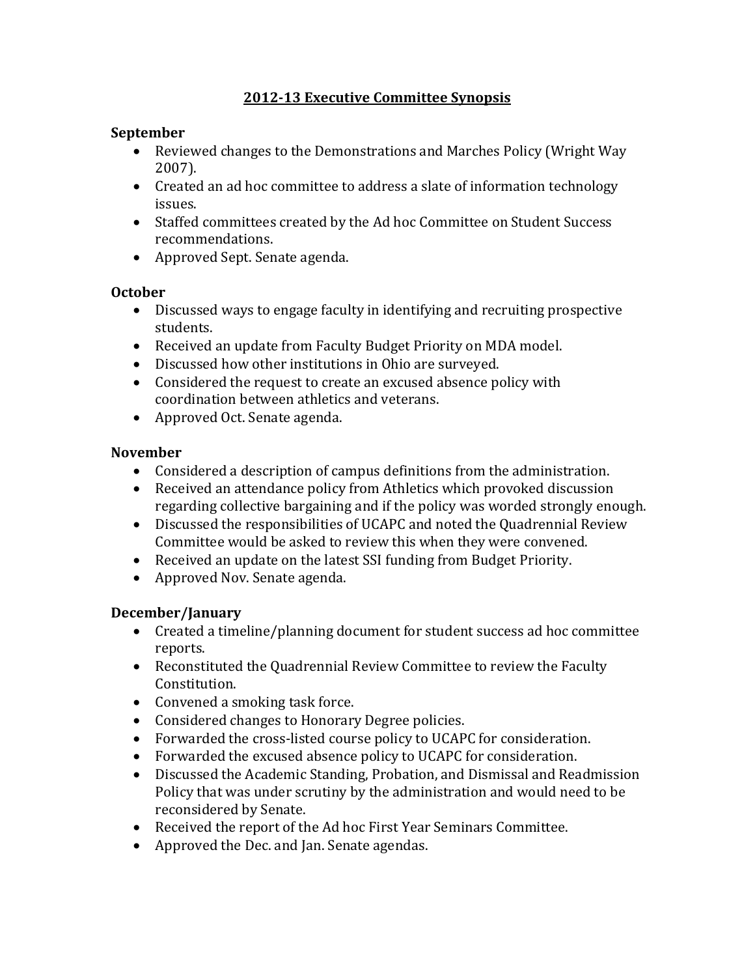### **2012‐13 Executive Committee Synopsis**

#### **September**

- Reviewed changes to the Demonstrations and Marches Policy (Wright Way 2007).
- Created an ad hoc committee to address a slate of information technology issues.
- Staffed committees created by the Ad hoc Committee on Student Success recommendations.
- Approved Sept. Senate agenda.

#### **October**

- Discussed ways to engage faculty in identifying and recruiting prospective students.
- Received an update from Faculty Budget Priority on MDA model.
- Discussed how other institutions in Ohio are surveyed.
- Considered the request to create an excused absence policy with coordination between athletics and veterans.
- Approved Oct. Senate agenda.

#### **November**

- Considered a description of campus definitions from the administration.
- Received an attendance policy from Athletics which provoked discussion regarding collective bargaining and if the policy was worded strongly enough.
- Discussed the responsibilities of UCAPC and noted the Quadrennial Review Committee would be asked to review this when they were convened.
- Received an update on the latest SSI funding from Budget Priority.
- Approved Nov. Senate agenda.

### **December/January**

- Created a timeline/planning document for student success ad hoc committee reports.
- Reconstituted the Quadrennial Review Committee to review the Faculty Constitution.
- Convened a smoking task force.
- Considered changes to Honorary Degree policies.
- Forwarded the cross-listed course policy to UCAPC for consideration.
- Forwarded the excused absence policy to UCAPC for consideration.
- Discussed the Academic Standing, Probation, and Dismissal and Readmission Policy that was under scrutiny by the administration and would need to be reconsidered by Senate.
- Received the report of the Ad hoc First Year Seminars Committee.
- Approved the Dec. and Jan. Senate agendas.